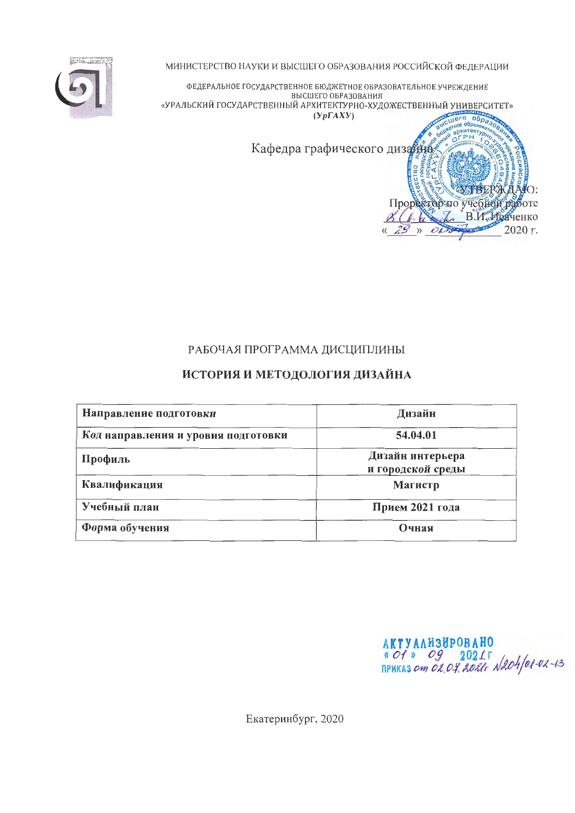

МИНИСТЕРСТВО НАУКИ И ВЫСШЕГО ОБРАЗОВАНИЯ РОССИЙСКОЙ ФЕДЕРАЦИИ

ФЕДЕРАЛЬНОЕ ГОСУДАРСТВЕННОЕ БЮДЖЕТНОЕ ОБРАЗОВАТЕЛЬНОЕ УЧРЕЖДЕНИЕ ВЫСШЕГО ОБРАЗОВАНИЯ «УРАЛЬСКИЙ ГОСУДАРСТВЕННЫЙ АРХИТЕКТУРНО-ХУДОЖЕСТВЕННЫЙ УНИВЕРСИТЕТ»  $(Yp\Gamma A X Y)$  $n$ ero  $\sigma$ 

Кафедра графического дизайна

# РАБОЧАЯ ПРОГРАММА ДИСЦИПЛИНЫ

# ИСТОРИЯ И МЕТОДОЛОГИЯ ДИЗАЙНА

| Направление подготовки              | Дизайн                                |
|-------------------------------------|---------------------------------------|
| Код направления и уровня подготовки | 54.04.01                              |
| Профиль                             | Дизайн интерьера<br>и городской среды |
| Квалификация                        | Магистр                               |
| Учебный план                        | Прием 2021 года                       |
| Форма обучения                      | Очная                                 |

AKTYANH3HPOBAHO<br>« Of » Og 2021 F<br>приказ от 02.04.2021 г N204/01-02-13

**архитект CPH** 

Проректор по учебной работе

6. Works

 $29$  » OLTS

**TBERKIZ** 

**COLOR** 

В.И. Исаченко

HO:

2020 г.

Екатеринбург, 2020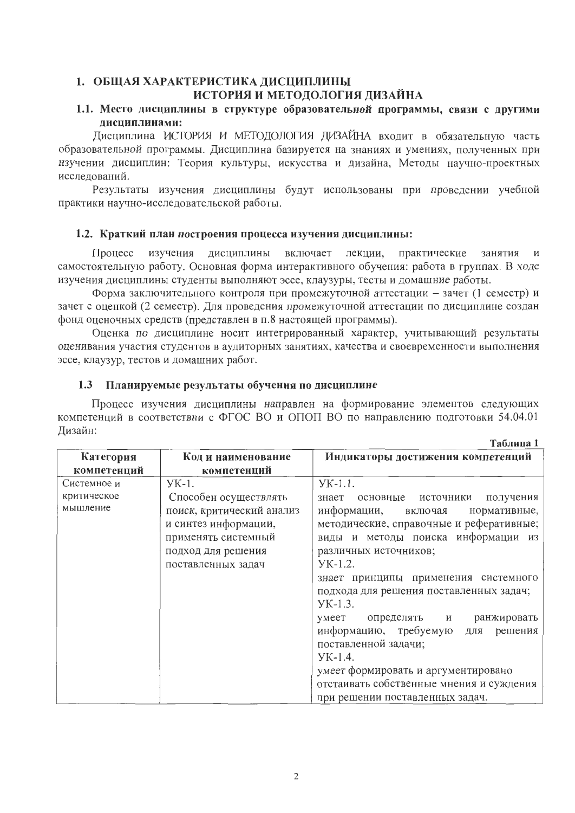### 1. ОБЩАЯ ХАРАКТЕРИСТИКА ДИСЦИПЛИНЫ ИСТОРИЯ И МЕТОДОЛОГИЯ ДИЗАЙНА

#### 1.1. Место дисциплины в структуре образовательной программы, связи с другими лисциплинами:

Дисциплина ИСТОРИЯ И МЕТОДОЛОГИЯ ДИЗАЙНА входит в обязательную часть образовательной программы. Дисциплина базируется на знаниях и умениях, полученных при изучении дисциплин: Теория культуры, искусства и дизайна, Методы научно-проектных исслелований.

Результаты изучения дисциплины будут использованы при проведении учебной практики научно-исследовательской работы.

#### 1.2. Краткий план построения процесса изучения дисциплины:

Процесс изучения дисциплины включает лекции, практические занятия и самостоятельную работу. Основная форма интерактивного обучения: работа в группах. В ходе изучения дисциплины студенты выполняют эссе, клаузуры, тесты и домашние работы.

Форма заключительного контроля при промежуточной аттестации - зачет (1 семестр) и зачет с оценкой (2 семестр). Для проведения промежуточной аттестации по дисциплине создан фонд оценочных средств (представлен в п.8 настоящей программы).

Оценка по дисциплине носит интегрированный характер, учитывающий результаты оценивания участия студентов в аудиторных занятиях, качества и своевременности выполнения эссе, клаузур, тестов и домашних работ.

#### $1.3$ Планируемые результаты обучения по дисциплине

Процесс изучения дисциплины направлен на формирование элементов следующих компетенций в соответствии с ФГОС ВО и ОПОП ВО по направлению подготовки 54.04.01 Дизайн:  $T_{\alpha}$   $\epsilon$  =  $\epsilon$  =  $\epsilon$  1

|             |                           | таолица т                                   |
|-------------|---------------------------|---------------------------------------------|
| Категория   | Код и наименование        | Индикаторы достижения компетенций           |
| компетенций | компетенций               |                                             |
| Системное и | $YK-1$ .                  | $YK-1.1$ .                                  |
| критическое | Способен осуществлять     | получения<br>знает<br>основные<br>источники |
| мышление    | поиск, критический анализ | информации,<br>нормативные,<br>включая      |
|             | и синтез информации,      | методические, справочные и реферативные;    |
|             | применять системный       | виды и методы поиска информации из          |
|             | подход для решения        | различных источников;                       |
|             | поставленных задач        | $YK-1.2$ .                                  |
|             |                           | знает принципы применения системного        |
|             |                           | подхода для решения поставленных задач;     |
|             |                           | $YK-1.3.$                                   |
|             |                           | ранжировать<br>определять и<br>умеет        |
|             |                           | информацию, требуемую<br>решения<br>ЛЛЯ     |
|             |                           | поставленной задачи;                        |
|             |                           | $YK-1.4$ .                                  |
|             |                           | умеет формировать и аргументировано         |
|             |                           | отстаивать собственные мнения и суждения    |
|             |                           | при решении поставленных задач.             |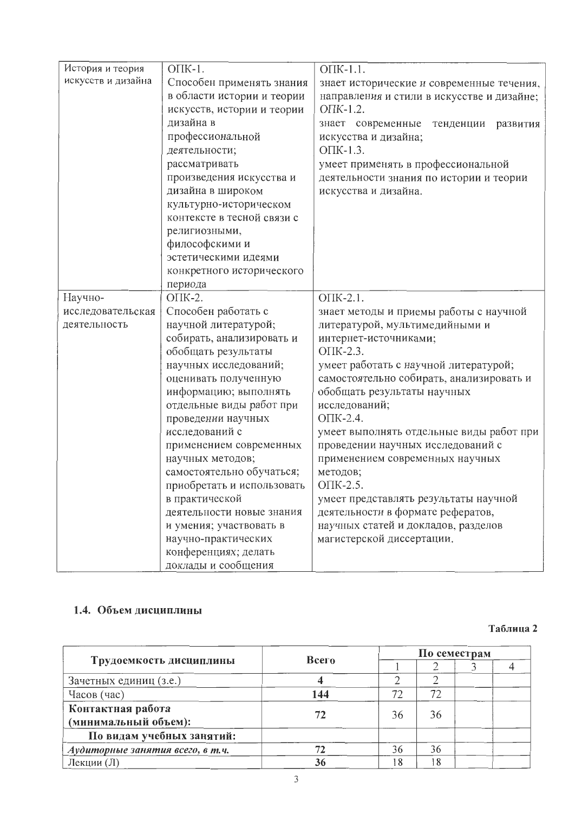| История и теория   | OIK-1.                     | OIK-1.1.                                   |
|--------------------|----------------------------|--------------------------------------------|
| искусств и дизайна | Способен применять знания  | знает исторические и современные течения,  |
|                    | в области истории и теории | направления и стили в искусстве и дизайне; |
|                    | искусств, истории и теории | ОПК-1.2.                                   |
|                    | дизайна в                  | знает современные<br>тенденции<br>развития |
|                    | профессиональной           | искусства и дизайна;                       |
|                    | деятельности;              | $O\Pi K-1.3$ .                             |
|                    | рассматривать              | умеет применять в профессиональной         |
|                    | произведения искусства и   | деятельности знания по истории и теории    |
|                    | дизайна в широком          | искусства и дизайна.                       |
|                    | культурно-историческом     |                                            |
|                    | контексте в тесной связи с |                                            |
|                    | религиозными,              |                                            |
|                    | философскими и             |                                            |
|                    | эстетическими идеями       |                                            |
|                    | конкретного исторического  |                                            |
|                    | периода                    |                                            |
| Научно-            | ОПК-2.                     | OIK-2.1.                                   |
| исследовательская  | Способен работать с        | знает методы и приемы работы с научной     |
| деятельность       | научной литературой;       | литературой, мультимедийными и             |
|                    | собирать, анализировать и  | интернет-источниками;                      |
|                    | обобщать результаты        | OTIK-2.3.                                  |
|                    | научных исследований;      | умеет работать с научной литературой;      |
|                    | оценивать полученную       | самостоятельно собирать, анализировать и   |
|                    | информацию; выполнять      | обобщать результаты научных                |
|                    | отдельные виды работ при   | исследований;                              |
|                    | проведении научных         | ОПК-2.4.                                   |
|                    | исследований с             | умеет выполнять отдельные виды работ при   |
|                    | применением современных    | проведении научных исследований с          |
|                    | научных методов;           | применением современных научных            |
|                    | самостоятельно обучаться;  | методов;                                   |
|                    | приобретать и использовать | ОПК-2.5.                                   |
|                    | в практической             | умеет представлять результаты научной      |
|                    | деятельности новые знания  | деятельности в формате рефератов,          |
|                    | и умения; участвовать в    | научных статей и докладов, разделов        |
|                    | научно-практических        | магистерской диссертации.                  |
|                    | конференциях; делать       |                                            |
|                    | доклады и сообщения        |                                            |

# 1.4. Объем дисциплины

#### Таблица 2

|                                           | Всего |    | По семестрам |  |  |  |  |
|-------------------------------------------|-------|----|--------------|--|--|--|--|
| Трудоемкость дисциплины                   |       |    |              |  |  |  |  |
| Зачетных единиц (з.е.)                    |       |    |              |  |  |  |  |
| Часов (час)                               | 144   | 72 | 72           |  |  |  |  |
| Контактная работа<br>(минимальный объем): |       | 36 | 36           |  |  |  |  |
| По видам учебных занятий:                 |       |    |              |  |  |  |  |
| Аудиторные занятия всего, в т.ч.          |       | 36 | 36           |  |  |  |  |
| Лекции (Л)                                | 36    | 8  | 18           |  |  |  |  |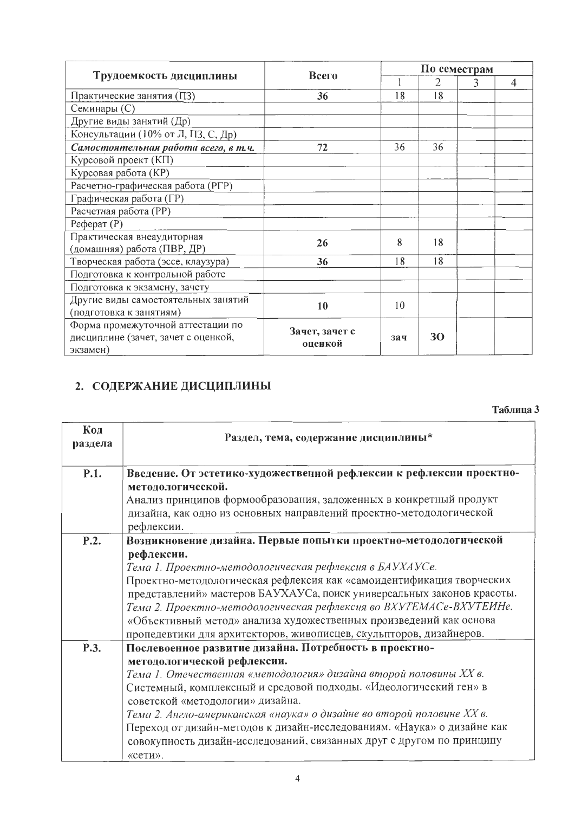|                                      |                |     | По семестрам |   |                |  |  |  |
|--------------------------------------|----------------|-----|--------------|---|----------------|--|--|--|
| Трудоемкость дисциплины              | Всего          |     | 2            | 3 | $\overline{4}$ |  |  |  |
| Практические занятия (ПЗ)            | 36             | 18  | 18           |   |                |  |  |  |
| Семинары (С)                         |                |     |              |   |                |  |  |  |
| Другие виды занятий (Др)             |                |     |              |   |                |  |  |  |
| Консультации (10% от Л, ПЗ, С, Др)   |                |     |              |   |                |  |  |  |
| Самостоятельная работа всего, в т.ч. | 72             | 36  | 36           |   |                |  |  |  |
| Курсовой проект (КП)                 |                |     |              |   |                |  |  |  |
| Курсовая работа (КР)                 |                |     |              |   |                |  |  |  |
| Расчетно-графическая работа (РГР)    |                |     |              |   |                |  |  |  |
| Графическая работа (ГР)              |                |     |              |   |                |  |  |  |
| Расчетная работа (РР)                |                |     |              |   |                |  |  |  |
| $Pe$ ферат $(P)$                     |                |     |              |   |                |  |  |  |
| Практическая внеаудиторная           | 26             | 8   | 18           |   |                |  |  |  |
| (домашняя) работа (ПВР, ДР)          |                |     |              |   |                |  |  |  |
| Творческая работа (эссе, клаузура)   | 36             | 18  | 18           |   |                |  |  |  |
| Подготовка к контрольной работе      |                |     |              |   |                |  |  |  |
| Подготовка к экзамену, зачету        |                |     |              |   |                |  |  |  |
| Другие виды самостоятельных занятий  | 10             | 10  |              |   |                |  |  |  |
| (подготовка к занятиям)              |                |     |              |   |                |  |  |  |
| Форма промежуточной аттестации по    | Зачет, зачет с |     |              |   |                |  |  |  |
| дисциплине (зачет, зачет с оценкой,  | оценкой        | 324 | 30           |   |                |  |  |  |
| экзамен)                             |                |     |              |   |                |  |  |  |

# 2. СОДЕРЖАНИЕ ДИСЦИПЛИНЫ

#### Таблица 3

| Код<br>раздела | Раздел, тема, содержание дисциплины*                                                                                                                                                                                                                                                                                                                                                                                                                                                                        |
|----------------|-------------------------------------------------------------------------------------------------------------------------------------------------------------------------------------------------------------------------------------------------------------------------------------------------------------------------------------------------------------------------------------------------------------------------------------------------------------------------------------------------------------|
| P.1.           | Введение. От эстетико-художественной рефлексии к рефлексии проектно-<br>методологической.<br>Анализ принципов формообразования, заложенных в конкретный продукт                                                                                                                                                                                                                                                                                                                                             |
|                | дизайна, как одно из основных направлений проектно-методологической<br>рефлексии.                                                                                                                                                                                                                                                                                                                                                                                                                           |
| P.2.           | Возникновение дизайна. Первые попытки проектно-методологической<br>рефлексии.<br>Тема 1. Проектно-методологическая рефлексия в БАУХАУСе.<br>Проектно-методологическая рефлексия как «самоидентификация творческих<br>представлений» мастеров БАУХАУСа, поиск универсальных законов красоты.<br>Тема 2. Проектно-методологическая рефлексия во ВХУТЕМАСе-ВХУТЕИНе.                                                                                                                                           |
|                | «Объективный метод» анализа художественных произведений как основа<br>пропедевтики для архитекторов, живописцев, скульпторов, дизайнеров.                                                                                                                                                                                                                                                                                                                                                                   |
| P.3.           | Послевоенное развитие дизайна. Потребность в проектно-<br>методологической рефлексии.<br>Тема 1. Отечественная «методология» дизайна второй половины XX в.<br>Системный, комплексный и средовой подходы. «Идеологический ген» в<br>советской «методологии» дизайна.<br>Тема 2. Англо-американская «наука» о дизайне во второй половине XX в.<br>Переход от дизайн-методов к дизайн-исследованиям. «Наука» о дизайне как<br>совокупность дизайн-исследований, связанных друг с другом по принципу<br>«сети». |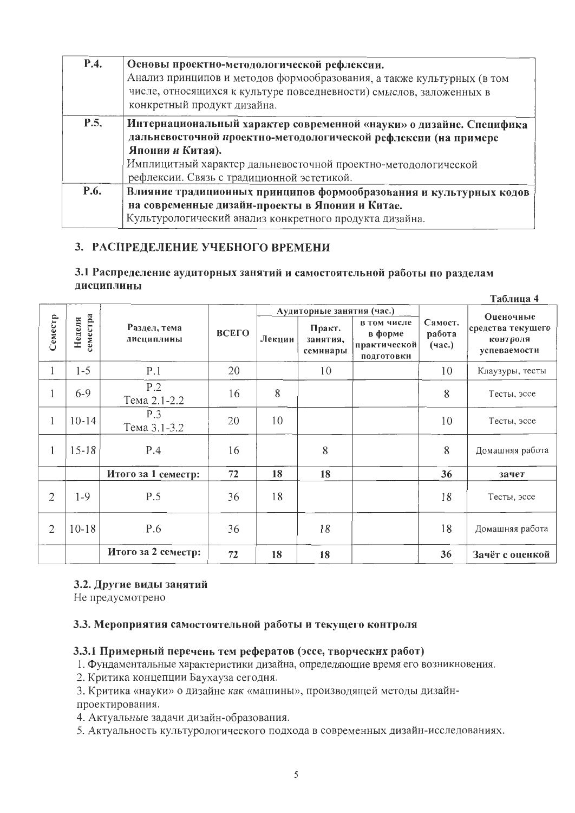| P.4. | Основы проектно-методологической рефлексии.<br>Анализ принципов и методов формообразования, а также культурных (в том<br>числе, относящихся к культуре повседневности) смыслов, заложенных в<br>конкретный продукт дизайна.                                                |
|------|----------------------------------------------------------------------------------------------------------------------------------------------------------------------------------------------------------------------------------------------------------------------------|
| P.5. | Интернациональный характер современной «науки» о дизайне. Специфика<br>дальневосточной проектно-методологической рефлексии (на примере<br>Японии и Китая).<br>Имплицитный характер дальневосточной проектно-методологической<br>рефлексии. Связь с традиционной эстетикой. |
| P.6. | Влияние традиционных принципов формообразования и культурных кодов<br>на современные дизайн-проекты в Японии и Китае.<br>Культурологический анализ конкретного продукта дизайна.                                                                                           |

### 3. РАСПРЕДЕЛЕНИЕ УЧЕБНОГО ВРЕМЕНИ

#### 3.1 Распределение аудиторных занятий и самостоятельной работы по разделам дисциплины  $T_0$ блино  $\Lambda$

|                |                    |                            |       |        |                                |                                                      |                             | 1 а $v$ лица т                                             |
|----------------|--------------------|----------------------------|-------|--------|--------------------------------|------------------------------------------------------|-----------------------------|------------------------------------------------------------|
|                |                    |                            |       |        | Аудиторные занятия (час.)      |                                                      |                             |                                                            |
| Семестр        | геместра<br>Неделя | Раздел, тема<br>дисциплины | ВСЕГО | Лекции | Практ.<br>занятия,<br>семинары | в том числе<br>в форме<br>практической<br>подготовки | Самост.<br>работа<br>(4ac.) | Оценочные<br>средства текущего<br>контроля<br>успеваемости |
| 1              | $1 - 5$            | P.1                        | 20    |        | 10                             |                                                      | 10                          | Клаузуры, тесты                                            |
| 1              | $6 - 9$            | P.2<br>Тема 2.1-2.2        | 16    | 8      |                                |                                                      | 8                           | Тесты, эссе                                                |
| 1              | $10 - 14$          | P.3<br>Тема 3.1-3.2        | 20    | 10     |                                |                                                      | 10                          | Тесты, эссе                                                |
| 1              | $15 - 18$          | P.4                        | 16    |        | 8                              |                                                      | 8                           | Домашняя работа                                            |
|                |                    | Итого за 1 семестр:        | 72    | 18     | 18                             |                                                      | 36                          | зачет                                                      |
| $\overline{2}$ | $1 - 9$            | P.5                        | 36    | 18     |                                |                                                      | 18                          | Тесты, эссе                                                |
| $\overline{2}$ | $10 - 18$          | P.6                        | 36    |        | 18                             |                                                      | 18                          | Домашняя работа                                            |
|                |                    | Итого за 2 семестр:        | 72    | 18     | 18                             |                                                      | 36                          | Зачёт с оценкой                                            |

#### 3.2. Другие виды занятий

Не предусмотрено

#### 3.3. Мероприятия самостоятельной работы и текущего контроля

#### 3.3.1 Примерный перечень тем рефератов (эссе, творческих работ)

1. Фундаментальные характеристики дизайна, определяющие время его возникновения.

2. Критика концепции Баухауза сегодня.

3. Критика «науки» о дизайне как «машины», производящей методы дизайнпроектирования.

4. Актуальные задачи дизайн-образования.

5. Актуальность культурологического подхода в современных дизайн-исследованиях.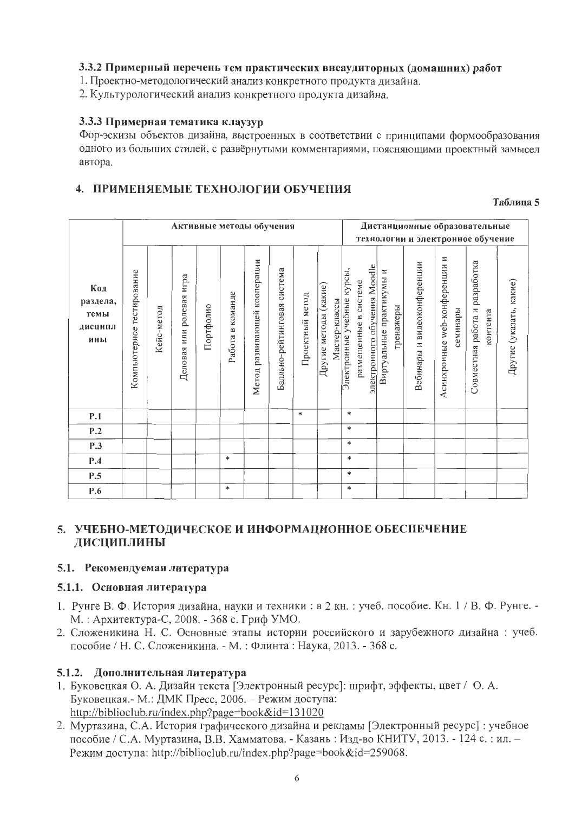#### 3.3.2 Примерный перечень тем практических внеаудиторных (домашних) работ

1. Проектно-методологический анализ конкретного продукта дизайна.

2. Культурологический анализ конкретного продукта дизайна.

#### 3.3.3 Примерная тематика клаузур

Фор-эскизы объектов дизайна, выстроенных в соответствии с принципами формообразования одного из больших стилей, с развёрнутыми комментариями, поясняющими проектный замысел автора.

### 4. ПРИМЕНЯЕМЫЕ ТЕХНОЛОГИИ ОБУЧЕНИЯ

Таблина 5

|                                           |                           |            |                             |           |                     | Активные методы обучения           |                                |                 |                                        |                                                                                     |                                       |                             | Дистанционные образовательные<br>технологии и электронное обучение |                                            |                         |
|-------------------------------------------|---------------------------|------------|-----------------------------|-----------|---------------------|------------------------------------|--------------------------------|-----------------|----------------------------------------|-------------------------------------------------------------------------------------|---------------------------------------|-----------------------------|--------------------------------------------------------------------|--------------------------------------------|-------------------------|
| Код<br>раздела,<br>темы<br>дисципл<br>ины | Компьютерное тестирование | Кейс-метод | игра<br>Деловая или ролевая | Портфолио | в команде<br>Работа | кооперации<br>развивающей<br>Метод | система<br>Балльно-рейтинговая | Проектный метод | Другие методы (какие)<br>Мастер-классы | электронного обучения Moodle<br>Электронные учебные курсы,<br>размещенные в системе | Виртуальные практикумы и<br>тренажеры | Вебинары и видеоконференции | Асинхронные web-конференции и<br>семинары                          | Совместная работа и разработка<br>контента | Другие (указать, какие) |
| P.1                                       |                           |            |                             |           |                     |                                    |                                | $\ast$          |                                        | *                                                                                   |                                       |                             |                                                                    |                                            |                         |
| P.2                                       |                           |            |                             |           |                     |                                    |                                |                 |                                        | $\ast$                                                                              |                                       |                             |                                                                    |                                            |                         |
| P.3                                       |                           |            |                             |           |                     |                                    |                                |                 |                                        | $\ast$                                                                              |                                       |                             |                                                                    |                                            |                         |
| P.4                                       |                           |            |                             |           | $\ast$              |                                    |                                |                 |                                        | $\ast$                                                                              |                                       |                             |                                                                    |                                            |                         |
| P.5                                       |                           |            |                             |           |                     |                                    |                                |                 |                                        | $\ast$                                                                              |                                       |                             |                                                                    |                                            |                         |
| P.6                                       |                           |            |                             |           | $\ast$              |                                    |                                |                 |                                        | $\ast$                                                                              |                                       |                             |                                                                    |                                            |                         |

#### 5. УЧЕБНО-МЕТОДИЧЕСКОЕ И ИНФОРМАЦИОННОЕ ОБЕСПЕЧЕНИЕ ДИСЦИПЛИНЫ

#### 5.1. Рекомендуемая литература

#### 5.1.1. Основная литература

- 1. Рунге В. Ф. История дизайна, науки и техники: в 2 кн.: учеб. пособие. Кн. 1 / В. Ф. Рунге. -М.: Архитектура-С, 2008. - 368 с. Гриф УМО.
- 2. Сложеникина Н. С. Основные этапы истории российского и зарубежного дизайна: учеб. пособие / Н. С. Сложеникина. - М. : Флинта : Наука, 2013. - 368 с.

#### 5.1.2. Дополнительная литература

- 1. Буковецкая О. А. Дизайн текста [Электронный ресурс]: шрифт, эффекты, цвет / О. А. Буковецкая.- М.: ДМК Пресс, 2006. - Режим доступа: http://biblioclub.ru/index.php?page=book&id=131020
- 2. Муртазина, С.А. История графического дизайна и рекламы [Электронный ресурс] : учебное пособие / С.А. Муртазина, В.В. Хамматова. - Казань: Изд-во КНИТУ, 2013. - 124 с.: ил. -Режим доступа: http://biblioclub.ru/index.php?page=book&id=259068.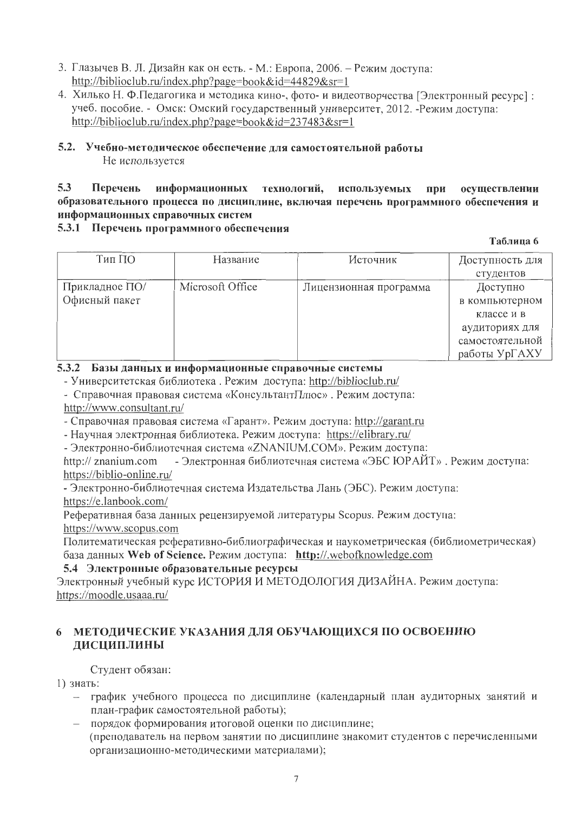- 3. Глазычев В. Л. Дизайн как он есть. М.: Европа, 2006. Режим доступа: http://biblioclub.ru/index.php?page=book&id=44829&sr=1
- 4. Хилько Н. Ф.Педагогика и методика кино-, фото- и видеотворчества [Электронный ресурс]: учеб. пособие. - Омск: Омский государственный университет, 2012. - Режим доступа: http://biblioclub.ru/index.php?page=book&id=237483&sr=1

#### 5.2. Учебно-методическое обеспечение для самостоятельной работы Не используется

#### $5.3$ Перечень информационных технологий, используемых при осуществлении образовательного процесса по дисциплине, включая перечень программного обеспечения и информационных справочных систем

#### 5.3.1 Перечень программного обеспечения

Таблица 6

| Тип ПО         | Название         | Источник               | Доступность для |
|----------------|------------------|------------------------|-----------------|
|                |                  |                        | студентов       |
| Прикладное ПО/ | Microsoft Office | Лицензионная программа | Доступно        |
| Офисный пакет  |                  |                        | в компьютерном  |
|                |                  |                        | классе и в      |
|                |                  |                        | аудиториях для  |
|                |                  |                        | самостоятельной |
|                |                  |                        | работы УрГАХУ   |

#### 5.3.2 Базы данных и информационные справочные системы

- Университетская библиотека. Режим доступа: http://biblioclub.ru/

- Справочная правовая система «КонсультантПлюс». Режим доступа:

http://www.consultant.ru/

- Справочная правовая система «Гарант». Режим доступа: http://garant.ru

- Научная электронная библиотека. Режим доступа: https://elibrary.ru/

- Электронно-библиотечная система «ZNANIUM.COM». Режим доступа:

- Электронная библиотечная система «ЭБС ЮРАЙТ». Режим доступа: http:// znanium.com https://biblio-online.ru/

- Электронно-библиотечная система Издательства Лань (ЭБС). Режим доступа: https://e.lanbook.com/

Реферативная база данных рецензируемой литературы Scopus. Режим доступа: https://www.scopus.com

Политематическая реферативно-библиографическая и наукометрическая (библиометрическая) база данных Web of Science. Режим доступа: http://.webofknowledge.com

#### 5.4 Электронные образовательные ресурсы

Электронный учебный курс ИСТОРИЯ И МЕТОДОЛОГИЯ ДИЗАЙНА. Режим доступа: https://moodle.usaaa.ru/

#### 6 МЕТОДИЧЕСКИЕ УКАЗАНИЯ ДЛЯ ОБУЧАЮЩИХСЯ ПО ОСВОЕНИЮ **ЛИСЦИПЛИНЫ**

Студент обязан:

1) знать:

- график учебного процесса по дисциплине (календарный план аудиторных занятий и план-график самостоятельной работы);
- порядок формирования итоговой оценки по дисциплине; (преподаватель на первом занятии по дисциплине знакомит студентов с перечисленными организационно-методическими материалами);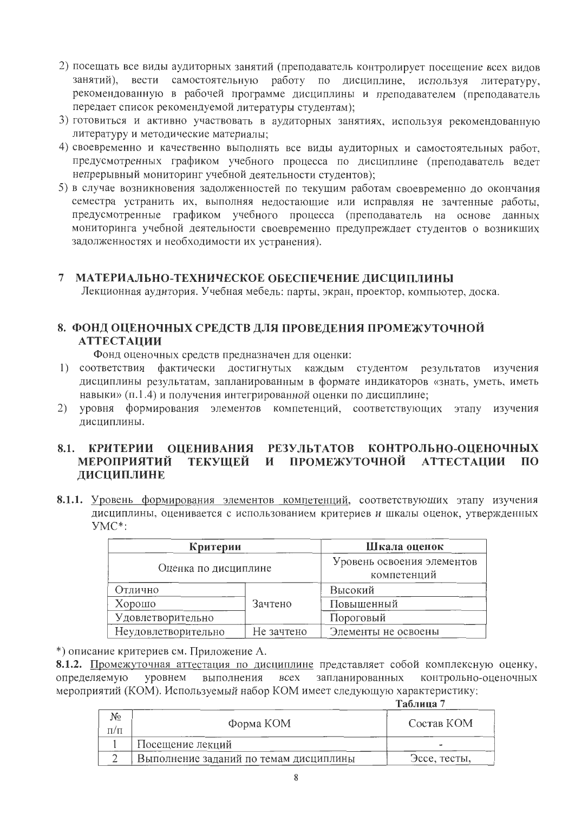- 2) посещать все виды аудиторных занятий (преподаватель контролирует посещение всех видов занятий), вести самостоятельную работу по дисциплине, используя литературу, рекомендованную в рабочей программе дисциплины и преподавателем (преподаватель передает список рекомендуемой литературы студентам);
- 3) готовиться и активно участвовать в аудиторных занятиях, используя рекомендованную литературу и методические материалы;
- 4) своевременно и качественно выполнять все виды аудиторных и самостоятельных работ, предусмотренных графиком учебного процесса по дисциплине (преподаватель ведет непрерывный мониторинг учебной деятельности студентов);
- 5) в случае возникновения задолженностей по текущим работам своевременно до окончания семестра устранить их, выполняя недостающие или исправляя не зачтенные работы, предусмотренные графиком учебного процесса (преподаватель на основе данных мониторинга учебной деятельности своевременно предупреждает студентов о возникших задолженностях и необходимости их устранения).

#### 7 МАТЕРИАЛЬНО-ТЕХНИЧЕСКОЕ ОБЕСПЕЧЕНИЕ ДИСЦИПЛИНЫ

Лекционная аудитория. Учебная мебель: парты, экран, проектор, компьютер, доска.

## 8. ФОНД ОЦЕНОЧНЫХ СРЕДСТВ ДЛЯ ПРОВЕДЕНИЯ ПРОМЕЖУТОЧНОЙ **АТТЕСТАНИИ**

Фонд оценочных средств предназначен для оценки:

- 1) соответствия фактически достигнутых каждым студентом результатов изучения дисциплины результатам, запланированным в формате индикаторов «знать, уметь, иметь навыки» (п.1.4) и получения интегрированной оценки по дисциплине;
- 2) уровня формирования элементов компетенций, соответствующих этапу изучения лисциплины.

#### 8.1. КРИТЕРИИ ОПЕНИВАНИЯ РЕЗУЛЬТАТОВ КОНТРОЛЬНО-ОПЕНОЧНЫХ **МЕРОПРИЯТИЙ** текушей и ПРОМЕЖУТОЧНОЙ **АТТЕСТАЦИИ**  $\Pi$ <sup>O</sup> ДИСЦИПЛИНЕ

8.1.1. Уровень формирования элементов компетенций, соответствующих этапу изучения дисциплины, оценивается с использованием критериев и шкалы оценок, утвержденных YMC\*:

| Критерии                          | Шкала оценок                              |                     |
|-----------------------------------|-------------------------------------------|---------------------|
| Оценка по дисциплине              | Уровень освоения элементов<br>компетенций |                     |
| Отлично                           |                                           | Высокий             |
| Хорошо                            | Зачтено                                   | Повышенный          |
| Удовлетворительно                 |                                           | Пороговый           |
| Неудовлетворительно<br>Не зачтено |                                           | Элементы не освоены |

\*) описание критериев см. Приложение А.

8.1.2. Промежуточная аттестация по дисциплине представляет собой комплексную оценку, определяемую выполнения уровнем **BCCX** запланированных контрольно-оценочных мероприятий (КОМ). Используемый набор КОМ имеет следующую характеристику:

Таблица 7

| No<br>$\Pi/\Pi$ | Форма КОМ                              | Состав КОМ   |
|-----------------|----------------------------------------|--------------|
|                 | Посещение лекций                       |              |
|                 | Выполнение заданий по темам дисциплины | Эссе, тесты, |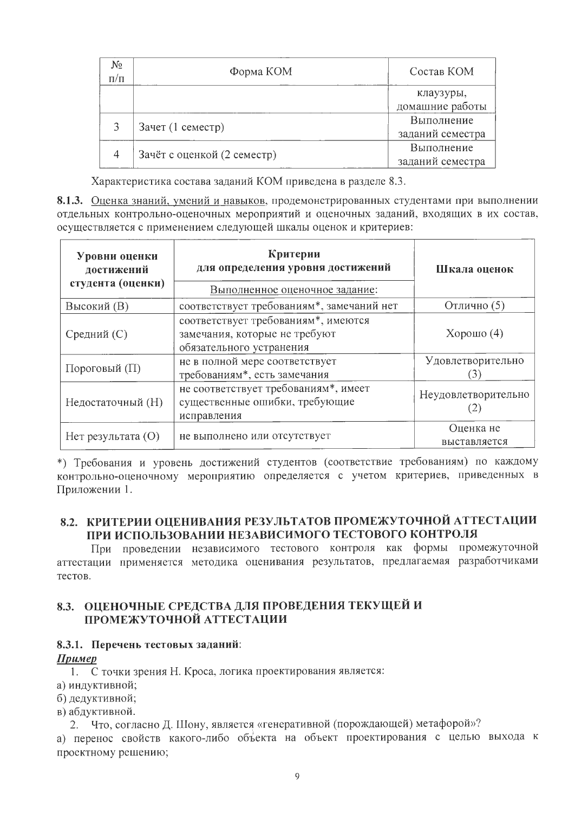| No.<br>$\Pi/\Pi$ | Форма КОМ                   | Состав КОМ       |
|------------------|-----------------------------|------------------|
|                  |                             | клаузуры,        |
|                  |                             | домашние работы  |
|                  | Зачет (1 семестр)           | Выполнение       |
|                  |                             | заданий семестра |
|                  | Зачёт с оценкой (2 семестр) | Выполнение       |
|                  |                             | заданий семестра |

Характеристика состава заданий КОМ приведена в разделе 8.3.

8.1.3. Оценка знаний, умений и навыков, продемонстрированных студентами при выполнении отдельных контрольно-оценочных мероприятий и оценочных заданий, входящих в их состав, осуществляется с применением следующей шкалы оценок и критериев:

| Уровни оценки<br>достижений<br>студента (оценки) | Критерии<br>для определения уровня достижений<br>Выполненное оценочное задание:                  | Шкала оценок               |  |
|--------------------------------------------------|--------------------------------------------------------------------------------------------------|----------------------------|--|
| Высокий (В)                                      | соответствует требованиям*, замечаний нет                                                        | Отлично (5)                |  |
| Средний (С)                                      | соответствует требованиям*, имеются<br>замечания, которые не требуют<br>обязательного устранения | Хорошо $(4)$               |  |
| Пороговый (П)                                    | не в полной мере соответствует<br>требованиям*, есть замечания                                   | Удовлетворительно<br>3     |  |
| Недостаточный (Н)                                | не соответствует требованиям*, имеет<br>существенные ошибки, требующие<br>исправления            | Неудовлетворительно<br>(2) |  |
| Нет результата (O)                               | не выполнено или отсутствует                                                                     | Оценка не<br>выставляется  |  |

\*) Требования и уровень достижений студентов (соответствие требованиям) по каждому контрольно-оценочному мероприятию определяется с учетом критериев, приведенных в Приложении 1.

#### 8.2. КРИТЕРИИ ОЦЕНИВАНИЯ РЕЗУЛЬТАТОВ ПРОМЕЖУТОЧНОЙ АТТЕСТАЦИИ ПРИ ИСПОЛЬЗОВАНИИ НЕЗАВИСИМОГО ТЕСТОВОГО КОНТРОЛЯ

При проведении независимого тестового контроля как формы промежуточной аттестации применяется методика оценивания результатов, предлагаемая разработчиками тестов.

#### 8.3. ОЦЕНОЧНЫЕ СРЕДСТВА ДЛЯ ПРОВЕДЕНИЯ ТЕКУЩЕЙ И ПРОМЕЖУТОЧНОЙ АТТЕСТАЦИИ

#### 8.3.1. Перечень тестовых заданий:

#### Пример

1. С точки зрения Н. Кроса, логика проектирования является:

а) индуктивной;

б) дедуктивной;

в) абдуктивной.

2. Что, согласно Д. Шону, является «генеративной (порождающей) метафорой»?

а) перенос свойств какого-либо объекта на объект проектирования с целью выхода к проектному решению;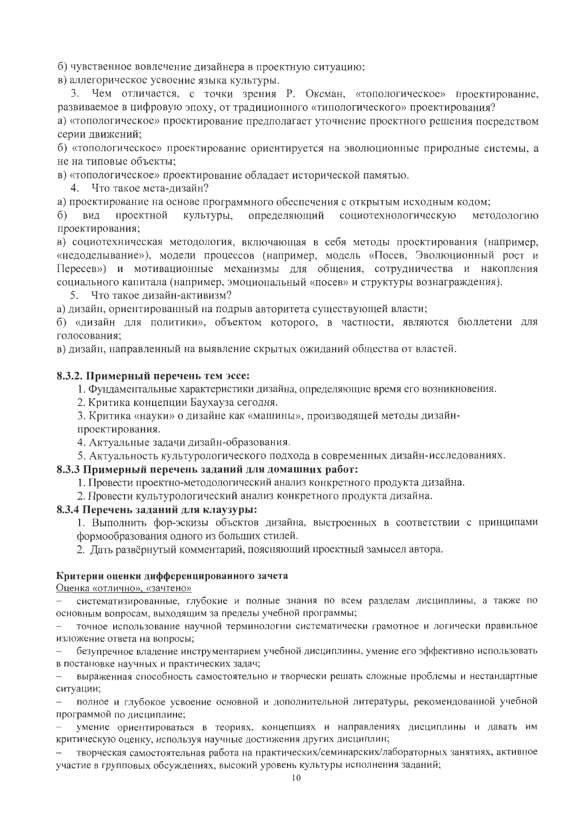б) чувственное вовлечение дизайнера в проектную ситуацию;

в) аллегорическое усвоение языка культуры.

3. Чем отличается, с точки зрения Р. Оксман, «топологическое» проектирование, развиваемое в цифровую эпоху, от традиционного «типологического» проектирования?

а) «топологическое» проектирование предполагает уточнение проектного решения посредством серии движений;

б) «топологическое» проектирование ориентируется на эволюционные природные системы, а не на типовые объекты;

в) «топологическое» проектирование обладает исторической памятью.

4. Что такое мета-дизайн?

а) проектирование на основе программного обеспечения с открытым исходным кодом;

проектной культуры, определяющий социотехнологическую методологию б) вид проектирования;

в) социотехническая методология, включающая в себя методы проектирования (например, «недоделывание»), модели процессов (например, модель «Посев, Эволюционный рост и Пересев») и мотивационные механизмы для общения, сотрудничества и накопления социального капитала (например, эмоциональный «посев» и структуры вознаграждения).

5. Что такое дизайн-активизм?

а) дизайн, ориентированный на подрыв авторитета существующей власти;

б) «дизайн для политики», объектом которого, в частности, являются бюллетени для голосования:

в) дизайн, направленный на выявление скрытых ожиданий общества от властей.

#### 8.3.2. Примерный перечень тем эссе:

1. Фундаментальные характеристики дизайна, определяющие время его возникновения.

2. Критика концепции Баухауза сегодня.

3. Критика «науки» о дизайне как «машины», производящей методы дизайнпроектирования.

4. Актуальные задачи дизайн-образования.

5. Актуальность культурологического подхода в современных дизайн-исследованиях.

#### 8.3.3 Примерный перечень заданий для домашних работ:

1. Провести проектно-методологический анализ конкретного продукта дизайна.

2. Провести культурологический анализ конкретного продукта дизайна.

#### 8.3.4 Перечень заданий для клаузуры:

1. Выполнить фор-эскизы объектов дизайна, выстроенных в соответствии с принципами формообразования одного из больших стилей.

2. Дать развёрнутый комментарий, поясняющий проектный замысел автора.

#### Критерии оценки дифференцированного зачета

Оценка «отлично», «зачтено»

систематизированные, глубокие и полные знания по всем разделам дисциплины, а также по основным вопросам, выходящим за пределы учебной программы;

точное использование научной терминологии систематически грамотное и логически правильное изложение ответа на вопросы;

безупречное владение инструментарием учебной дисциплины, умение его эффективно использовать в постановке научных и практических задач;

выраженная способность самостоятельно и творчески решать сложные проблемы и нестандартные ситуации;

полное и глубокое усвоение основной и дополнительной литературы, рекомендованной учебной программой по дисциплине;

умение ориентироваться в теориях, концепциях и направлениях дисциплины и давать им критическую оценку, используя научные достижения других дисциплин;

творческая самостоятельная работа на практических/семинарских/лабораторных занятиях, активное участие в групповых обсуждениях, высокий уровень культуры исполнения заданий;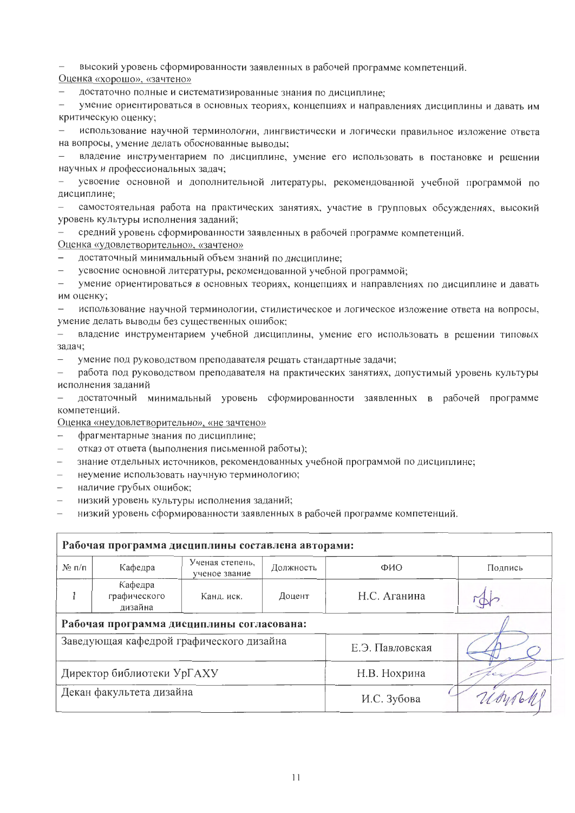высокий уровень сформированности заявленных в рабочей программе компетенций.

Оценка «хорошо», «зачтено»

достаточно полные и систематизированные знания по дисциплине;

умение ориентироваться в основных теориях, концепциях и направлениях дисциплины и давать им критическую оценку;

использование научной терминологии, лингвистически и логически правильное изложение ответа на вопросы, умение делать обоснованные выводы;

владение инструментарием по дисциплине, умение его использовать в постановке и решении научных и профессиональных задач;

усвоение основной и дополнительной литературы, рекомендованной учебной программой по дисциплине;

самостоятельная работа на практических занятиях, участие в групповых обсуждениях, высокий уровень культуры исполнения заданий;

средний уровень сформированности заявленных в рабочей программе компетенций.

Оценка «удовлетворительно», «зачтено»

достаточный минимальный объем знаний по дисциплине;  $-$ 

усвоение основной литературы, рекомендованной учебной программой;

умение ориентироваться в основных теориях, концепциях и направлениях по дисциплине и давать им оценку;

использование научной терминологии, стилистическое и логическое изложение ответа на вопросы, умение делать выводы без существенных ошибок;

владение инструментарием учебной дисциплины, умение его использовать в решении типовых задач;

умение под руководством преподавателя решать стандартные задачи;  $\frac{1}{2}$ 

 $\equiv$ работа под руководством преподавателя на практических занятиях, допустимый уровень культуры исполнения заданий

достаточный минимальный уровень сформированности заявленных в рабочей программе  $\equiv$ компетенций.

Оценка «неудовлетворительно», «не зачтено»

- фрагментарные знания по дисциплине;
- отказ от ответа (выполнения письменной работы);  $\equiv$
- знание отдельных источников, рекомендованных учебной программой по дисциплине;
- $\equiv$ неумение использовать научную терминологию;
- наличие грубых ошибок;
- низкий уровень культуры исполнения заданий;
- низкий уровень сформированности заявленных в рабочей программе компетенций.

| Рабочая программа дисциплины составлена авторами: |                                    |                                  |           |                 |         |  |  |  |
|---------------------------------------------------|------------------------------------|----------------------------------|-----------|-----------------|---------|--|--|--|
| $N_2$ п/п                                         | Кафедра                            | Ученая степень,<br>ученое звание | Должность | ФИО             | Подпись |  |  |  |
|                                                   | Кафедра<br>графического<br>дизайна | Канд. иск.                       | Доцент    | Н.С. Аганина    |         |  |  |  |
| Рабочая программа дисциплины согласована:         |                                    |                                  |           |                 |         |  |  |  |
| Заведующая кафедрой графического дизайна          |                                    |                                  |           | Е.Э. Павловская |         |  |  |  |
| Директор библиотеки УрГАХУ                        |                                    |                                  |           | Н.В. Нохрина    |         |  |  |  |
| Декан факультета дизайна                          |                                    |                                  |           | И.С. Зубова     |         |  |  |  |